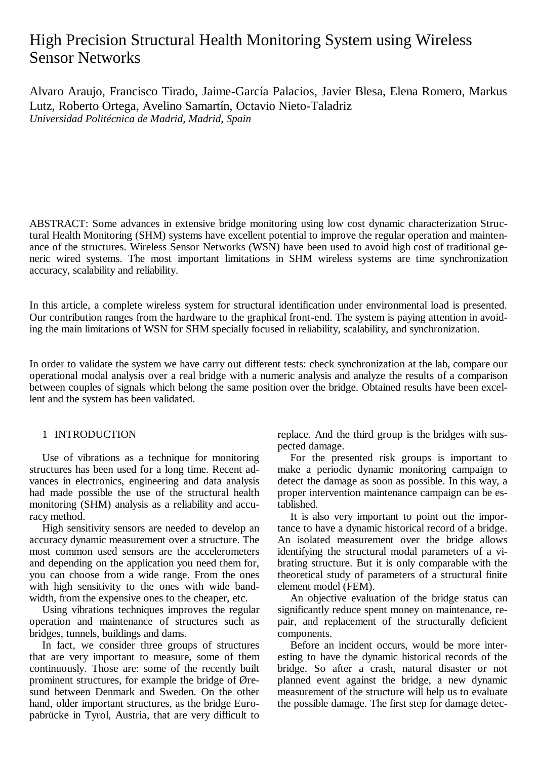# High Precision Structural Health Monitoring System using Wireless Sensor Networks

Alvaro Araujo, Francisco Tirado, Jaime-García Palacios, Javier Blesa, Elena Romero, Markus Lutz, Roberto Ortega, Avelino Samartín, Octavio Nieto-Taladriz *Universidad Politécnica de Madrid, Madrid, Spain*

ABSTRACT: Some advances in extensive bridge monitoring using low cost dynamic characterization Structural Health Monitoring (SHM) systems have excellent potential to improve the regular operation and maintenance of the structures. Wireless Sensor Networks (WSN) have been used to avoid high cost of traditional generic wired systems. The most important limitations in SHM wireless systems are time synchronization accuracy, scalability and reliability.

In this article, a complete wireless system for structural identification under environmental load is presented. Our contribution ranges from the hardware to the graphical front-end. The system is paying attention in avoiding the main limitations of WSN for SHM specially focused in reliability, scalability, and synchronization.

In order to validate the system we have carry out different tests: check synchronization at the lab, compare our operational modal analysis over a real bridge with a numeric analysis and analyze the results of a comparison between couples of signals which belong the same position over the bridge. Obtained results have been excellent and the system has been validated.

# 1 INTRODUCTION

Use of vibrations as a technique for monitoring structures has been used for a long time. Recent advances in electronics, engineering and data analysis had made possible the use of the structural health monitoring (SHM) analysis as a reliability and accuracy method.

High sensitivity sensors are needed to develop an accuracy dynamic measurement over a structure. The most common used sensors are the accelerometers and depending on the application you need them for, you can choose from a wide range. From the ones with high sensitivity to the ones with wide bandwidth, from the expensive ones to the cheaper, etc.

Using vibrations techniques improves the regular operation and maintenance of structures such as bridges, tunnels, buildings and dams.

In fact, we consider three groups of structures that are very important to measure, some of them continuously. Those are: some of the recently built prominent structures, for example the bridge of Øresund between Denmark and Sweden. On the other hand, older important structures, as the bridge Europabrücke in Tyrol, Austria, that are very difficult to

replace. And the third group is the bridges with suspected damage.

For the presented risk groups is important to make a periodic dynamic monitoring campaign to detect the damage as soon as possible. In this way, a proper intervention maintenance campaign can be established.

It is also very important to point out the importance to have a dynamic historical record of a bridge. An isolated measurement over the bridge allows identifying the structural modal parameters of a vibrating structure. But it is only comparable with the theoretical study of parameters of a structural finite element model (FEM).

An objective evaluation of the bridge status can significantly reduce spent money on maintenance, repair, and replacement of the structurally deficient components.

Before an incident occurs, would be more interesting to have the dynamic historical records of the bridge. So after a crash, natural disaster or not planned event against the bridge, a new dynamic measurement of the structure will help us to evaluate the possible damage. The first step for damage detec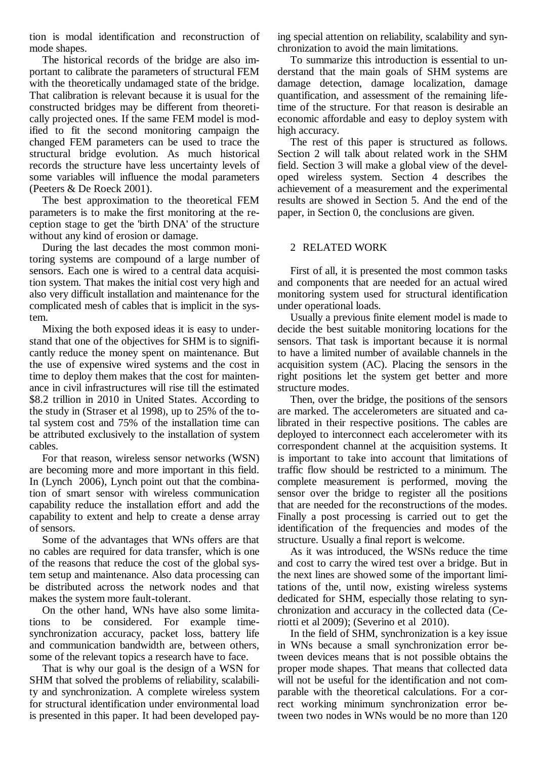tion is modal identification and reconstruction of mode shapes.

The historical records of the bridge are also important to calibrate the parameters of structural FEM with the theoretically undamaged state of the bridge. That calibration is relevant because it is usual for the constructed bridges may be different from theoretically projected ones. If the same FEM model is modified to fit the second monitoring campaign the changed FEM parameters can be used to trace the structural bridge evolution. As much historical records the structure have less uncertainty levels of some variables will influence the modal parameters (Peeters & De Roeck 2001).

The best approximation to the theoretical FEM parameters is to make the first monitoring at the reception stage to get the 'birth DNA' of the structure without any kind of erosion or damage.

During the last decades the most common monitoring systems are compound of a large number of sensors. Each one is wired to a central data acquisition system. That makes the initial cost very high and also very difficult installation and maintenance for the complicated mesh of cables that is implicit in the system.

Mixing the both exposed ideas it is easy to understand that one of the objectives for SHM is to significantly reduce the money spent on maintenance. But the use of expensive wired systems and the cost in time to deploy them makes that the cost for maintenance in civil infrastructures will rise till the estimated \$8.2 trillion in 2010 in United States. According to the study in (Straser et al 1998), up to 25% of the total system cost and 75% of the installation time can be attributed exclusively to the installation of system cables.

For that reason, wireless sensor networks (WSN) are becoming more and more important in this field. In (Lynch 2006), Lynch point out that the combination of smart sensor with wireless communication capability reduce the installation effort and add the capability to extent and help to create a dense array of sensors.

Some of the advantages that WNs offers are that no cables are required for data transfer, which is one of the reasons that reduce the cost of the global system setup and maintenance. Also data processing can be distributed across the network nodes and that makes the system more fault-tolerant.

On the other hand, WNs have also some limitations to be considered. For example timesynchronization accuracy, packet loss, battery life and communication bandwidth are, between others, some of the relevant topics a research have to face.

That is why our goal is the design of a WSN for SHM that solved the problems of reliability, scalability and synchronization. A complete wireless system for structural identification under environmental load is presented in this paper. It had been developed paying special attention on reliability, scalability and synchronization to avoid the main limitations.

To summarize this introduction is essential to understand that the main goals of SHM systems are damage detection, damage localization, damage quantification, and assessment of the remaining lifetime of the structure. For that reason is desirable an economic affordable and easy to deploy system with high accuracy.

The rest of this paper is structured as follows. Section [2](#page-1-0) will talk about related work in the SHM field. Section [3](#page-2-0) will make a global view of the developed wireless system. Section [4](#page-5-0) describes the achievement of a measurement and the experimental results are showed in Section [5.](#page-6-0) And the end of the paper, in Section [0,](#page-7-0) the conclusions are given.

## <span id="page-1-0"></span>2 RELATED WORK

First of all, it is presented the most common tasks and components that are needed for an actual wired monitoring system used for structural identification under operational loads.

Usually a previous finite element model is made to decide the best suitable monitoring locations for the sensors. That task is important because it is normal to have a limited number of available channels in the acquisition system (AC). Placing the sensors in the right positions let the system get better and more structure modes.

Then, over the bridge, the positions of the sensors are marked. The accelerometers are situated and calibrated in their respective positions. The cables are deployed to interconnect each accelerometer with its correspondent channel at the acquisition systems. It is important to take into account that limitations of traffic flow should be restricted to a minimum. The complete measurement is performed, moving the sensor over the bridge to register all the positions that are needed for the reconstructions of the modes. Finally a post processing is carried out to get the identification of the frequencies and modes of the structure. Usually a final report is welcome.

As it was introduced, the WSNs reduce the time and cost to carry the wired test over a bridge. But in the next lines are showed some of the important limitations of the, until now, existing wireless systems dedicated for SHM, especially those relating to synchronization and accuracy in the collected data (Ceriotti et al 2009); (Severino et al 2010).

In the field of SHM, synchronization is a key issue in WNs because a small synchronization error between devices means that is not possible obtains the proper mode shapes. That means that collected data will not be useful for the identification and not comparable with the theoretical calculations. For a correct working minimum synchronization error between two nodes in WNs would be no more than 120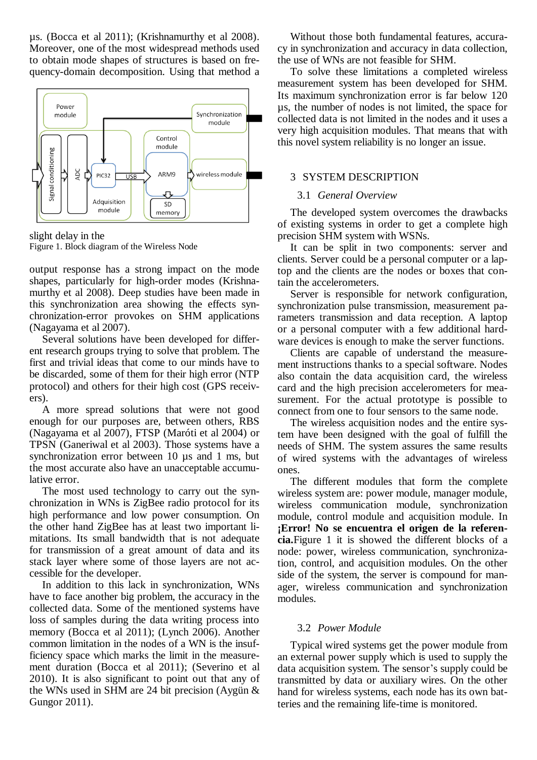µs. (Bocca et al 2011); (Krishnamurthy et al 2008). Moreover, one of the most widespread methods used to obtain mode shapes of structures is based on frequency-domain decomposition. Using that method a



slight delay in the Figure 1. Block diagram of the Wireless Node

output response has a strong impact on the mode shapes, particularly for high-order modes (Krishnamurthy et al 2008). Deep studies have been made in this synchronization area showing the effects synchronization-error provokes on SHM applications (Nagayama et al 2007).

Several solutions have been developed for different research groups trying to solve that problem. The first and trivial ideas that come to our minds have to be discarded, some of them for their high error (NTP protocol) and others for their high cost (GPS receivers).

A more spread solutions that were not good enough for our purposes are, between others, RBS (Nagayama et al 2007), FTSP (Maróti et al 2004) or TPSN (Ganeriwal et al 2003). Those systems have a synchronization error between 10  $\mu$ s and 1 ms, but the most accurate also have an unacceptable accumulative error.

The most used technology to carry out the synchronization in WNs is ZigBee radio protocol for its high performance and low power consumption. On the other hand ZigBee has at least two important limitations. Its small bandwidth that is not adequate for transmission of a great amount of data and its stack layer where some of those layers are not accessible for the developer.

In addition to this lack in synchronization, WNs have to face another big problem, the accuracy in the collected data. Some of the mentioned systems have loss of samples during the data writing process into memory (Bocca et al 2011); (Lynch 2006). Another common limitation in the nodes of a WN is the insufficiency space which marks the limit in the measurement duration (Bocca et al 2011); (Severino et al 2010). It is also significant to point out that any of the WNs used in SHM are 24 bit precision (Aygün & Gungor 2011).

Without those both fundamental features, accuracy in synchronization and accuracy in data collection, the use of WNs are not feasible for SHM.

To solve these limitations a completed wireless measurement system has been developed for SHM. Its maximum synchronization error is far below 120 µs, the number of nodes is not limited, the space for collected data is not limited in the nodes and it uses a very high acquisition modules. That means that with this novel system reliability is no longer an issue.

# <span id="page-2-0"></span>3 SYSTEM DESCRIPTION

# 3.1 *General Overview*

The developed system overcomes the drawbacks of existing systems in order to get a complete high precision SHM system with WSNs.

It can be split in two components: server and clients. Server could be a personal computer or a laptop and the clients are the nodes or boxes that contain the accelerometers.

Server is responsible for network configuration, synchronization pulse transmission, measurement parameters transmission and data reception. A laptop or a personal computer with a few additional hardware devices is enough to make the server functions.

Clients are capable of understand the measurement instructions thanks to a special software. Nodes also contain the data acquisition card, the wireless card and the high precision accelerometers for measurement. For the actual prototype is possible to connect from one to four sensors to the same node.

The wireless acquisition nodes and the entire system have been designed with the goal of fulfill the needs of SHM. The system assures the same results of wired systems with the advantages of wireless ones.

The different modules that form the complete wireless system are: power module, manager module, wireless communication module, synchronization module, control module and acquisition module. In **¡Error! No se encuentra el origen de la referencia.**Figure 1 it is showed the different blocks of a node: power, wireless communication, synchronization, control, and acquisition modules. On the other side of the system, the server is compound for manager, wireless communication and synchronization modules.

# 3.2 *Power Module*

Typical wired systems get the power module from an external power supply which is used to supply the data acquisition system. The sensor's supply could be transmitted by data or auxiliary wires. On the other hand for wireless systems, each node has its own batteries and the remaining life-time is monitored.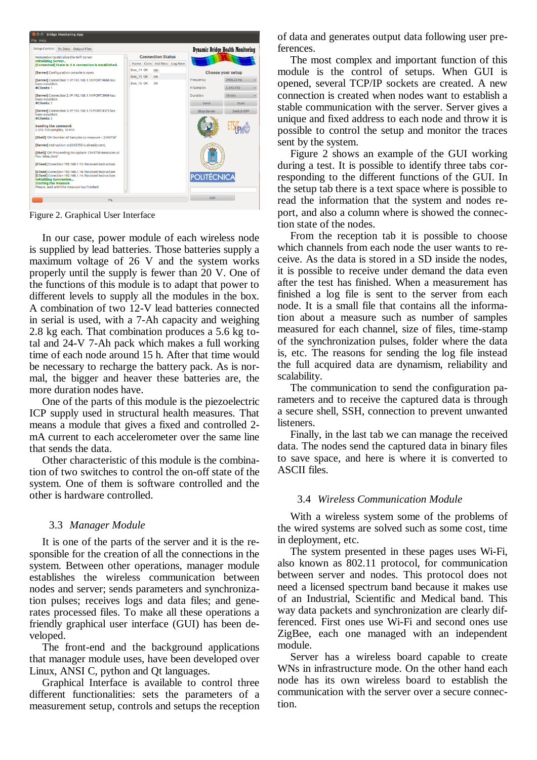

Figure 2. Graphical User Interface

In our case, power module of each wireless node is supplied by lead batteries. Those batteries supply a maximum voltage of 26 V and the system works properly until the supply is fewer than 20 V. One of the functions of this module is to adapt that power to different levels to supply all the modules in the box. A combination of two 12-V lead batteries connected in serial is used, with a 7-Ah capacity and weighing 2.8 kg each. That combination produces a 5.6 kg total and 24-V 7-Ah pack which makes a full working time of each node around 15 h. After that time would be necessary to recharge the battery pack. As is normal, the bigger and heaver these batteries are, the more duration nodes have.

One of the parts of this module is the piezoelectric ICP supply used in structural health measures. That means a module that gives a fixed and controlled 2 mA current to each accelerometer over the same line that sends the data.

Other characteristic of this module is the combination of two switches to control the on-off state of the system. One of them is software controlled and the other is hardware controlled.

## 3.3 *Manager Module*

It is one of the parts of the server and it is the responsible for the creation of all the connections in the system. Between other operations, manager module establishes the wireless communication between nodes and server; sends parameters and synchronization pulses; receives logs and data files; and generates processed files. To make all these operations a friendly graphical user interface (GUI) has been developed.

The front-end and the background applications that manager module uses, have been developed over Linux, ANSI C, python and Qt languages.

Graphical Interface is available to control three different functionalities: sets the parameters of a measurement setup, controls and setups the reception

of data and generates output data following user preferences.

The most complex and important function of this module is the control of setups. When GUI is opened, several TCP/IP sockets are created. A new connection is created when nodes want to establish a stable communication with the server. Server gives a unique and fixed address to each node and throw it is possible to control the setup and monitor the traces sent by the system.

Figure 2 shows an example of the GUI working during a test. It is possible to identify three tabs corresponding to the different functions of the GUI. In the setup tab there is a text space where is possible to read the information that the system and nodes report, and also a column where is showed the connection state of the nodes.

From the reception tab it is possible to choose which channels from each node the user wants to receive. As the data is stored in a SD inside the nodes, it is possible to receive under demand the data even after the test has finished. When a measurement has finished a log file is sent to the server from each node. It is a small file that contains all the information about a measure such as number of samples measured for each channel, size of files, time-stamp of the synchronization pulses, folder where the data is, etc. The reasons for sending the log file instead the full acquired data are dynamism, reliability and scalability.

The communication to send the configuration parameters and to receive the captured data is through a secure shell, SSH, connection to prevent unwanted listeners.

Finally, in the last tab we can manage the received data. The nodes send the captured data in binary files to save space, and here is where it is converted to ASCII files.

## 3.4 *Wireless Communication Module*

With a wireless system some of the problems of the wired systems are solved such as some cost, time in deployment, etc.

The system presented in these pages uses Wi-Fi, also known as 802.11 protocol, for communication between server and nodes. This protocol does not need a licensed spectrum band because it makes use of an Industrial, Scientific and Medical band. This way data packets and synchronization are clearly differenced. First ones use Wi-Fi and second ones use ZigBee, each one managed with an independent module.

Server has a wireless board capable to create WNs in infrastructure mode. On the other hand each node has its own wireless board to establish the communication with the server over a secure connection.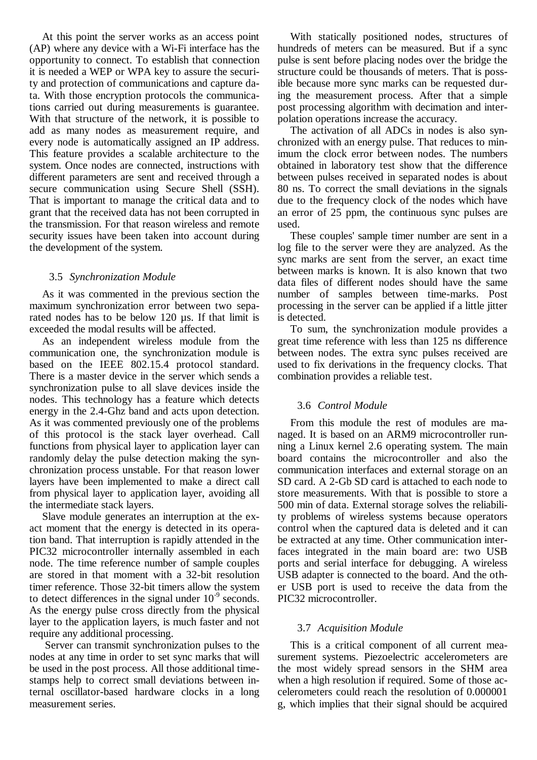At this point the server works as an access point (AP) where any device with a Wi-Fi interface has the opportunity to connect. To establish that connection it is needed a WEP or WPA key to assure the security and protection of communications and capture data. With those encryption protocols the communications carried out during measurements is guarantee. With that structure of the network, it is possible to add as many nodes as measurement require, and every node is automatically assigned an IP address. This feature provides a scalable architecture to the system. Once nodes are connected, instructions with different parameters are sent and received through a secure communication using Secure Shell (SSH). That is important to manage the critical data and to grant that the received data has not been corrupted in the transmission. For that reason wireless and remote security issues have been taken into account during the development of the system.

## 3.5 *Synchronization Module*

As it was commented in the previous section the maximum synchronization error between two separated nodes has to be below 120 µs. If that limit is exceeded the modal results will be affected.

As an independent wireless module from the communication one, the synchronization module is based on the IEEE 802.15.4 protocol standard. There is a master device in the server which sends a synchronization pulse to all slave devices inside the nodes. This technology has a feature which detects energy in the 2.4-Ghz band and acts upon detection. As it was commented previously one of the problems of this protocol is the stack layer overhead. Call functions from physical layer to application layer can randomly delay the pulse detection making the synchronization process unstable. For that reason lower layers have been implemented to make a direct call from physical layer to application layer, avoiding all the intermediate stack layers.

Slave module generates an interruption at the exact moment that the energy is detected in its operation band. That interruption is rapidly attended in the PIC32 microcontroller internally assembled in each node. The time reference number of sample couples are stored in that moment with a 32-bit resolution timer reference. Those 32-bit timers allow the system to detect differences in the signal under  $10^{-9}$  seconds. As the energy pulse cross directly from the physical layer to the application layers, is much faster and not require any additional processing.

Server can transmit synchronization pulses to the nodes at any time in order to set sync marks that will be used in the post process. All those additional timestamps help to correct small deviations between internal oscillator-based hardware clocks in a long measurement series.

With statically positioned nodes, structures of hundreds of meters can be measured. But if a sync pulse is sent before placing nodes over the bridge the structure could be thousands of meters. That is possible because more sync marks can be requested during the measurement process. After that a simple post processing algorithm with decimation and interpolation operations increase the accuracy.

The activation of all ADCs in nodes is also synchronized with an energy pulse. That reduces to minimum the clock error between nodes. The numbers obtained in laboratory test show that the difference between pulses received in separated nodes is about 80 ns. To correct the small deviations in the signals due to the frequency clock of the nodes which have an error of 25 ppm, the continuous sync pulses are used.

These couples' sample timer number are sent in a log file to the server were they are analyzed. As the sync marks are sent from the server, an exact time between marks is known. It is also known that two data files of different nodes should have the same number of samples between time-marks. Post processing in the server can be applied if a little jitter is detected.

To sum, the synchronization module provides a great time reference with less than 125 ns difference between nodes. The extra sync pulses received are used to fix derivations in the frequency clocks. That combination provides a reliable test.

# 3.6 *Control Module*

From this module the rest of modules are managed. It is based on an ARM9 microcontroller running a Linux kernel 2.6 operating system. The main board contains the microcontroller and also the communication interfaces and external storage on an SD card. A 2-Gb SD card is attached to each node to store measurements. With that is possible to store a 500 min of data. External storage solves the reliability problems of wireless systems because operators control when the captured data is deleted and it can be extracted at any time. Other communication interfaces integrated in the main board are: two USB ports and serial interface for debugging. A wireless USB adapter is connected to the board. And the other USB port is used to receive the data from the PIC32 microcontroller.

## 3.7 *Acquisition Module*

This is a critical component of all current measurement systems. Piezoelectric accelerometers are the most widely spread sensors in the SHM area when a high resolution if required. Some of those accelerometers could reach the resolution of 0.000001 g, which implies that their signal should be acquired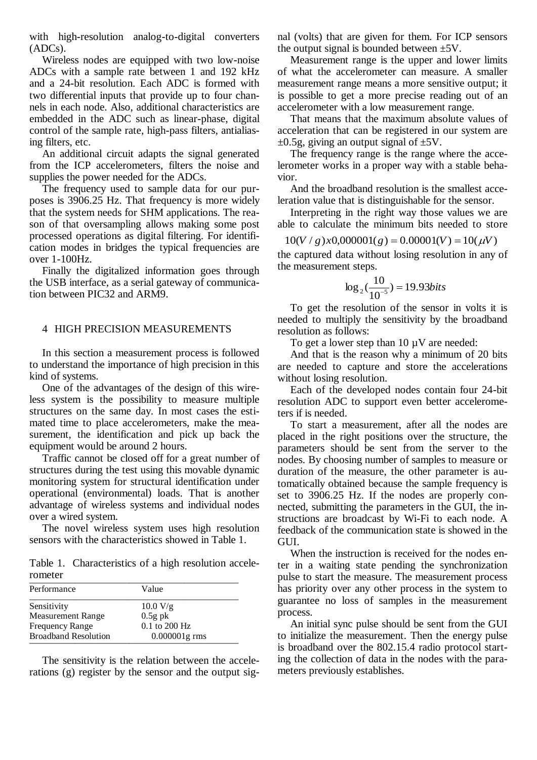with high-resolution analog-to-digital converters (ADCs).

Wireless nodes are equipped with two low-noise ADCs with a sample rate between 1 and 192 kHz and a 24-bit resolution. Each ADC is formed with two differential inputs that provide up to four channels in each node. Also, additional characteristics are embedded in the ADC such as linear-phase, digital control of the sample rate, high-pass filters, antialiasing filters, etc.

An additional circuit adapts the signal generated from the ICP accelerometers, filters the noise and supplies the power needed for the ADCs.

The frequency used to sample data for our purposes is 3906.25 Hz. That frequency is more widely that the system needs for SHM applications. The reason of that oversampling allows making some post processed operations as digital filtering. For identification modes in bridges the typical frequencies are over 1-100Hz.

Finally the digitalized information goes through the USB interface, as a serial gateway of communication between PIC32 and ARM9.

#### <span id="page-5-0"></span>4 HIGH PRECISION MEASUREMENTS

In this section a measurement process is followed to understand the importance of high precision in this kind of systems.

One of the advantages of the design of this wireless system is the possibility to measure multiple structures on the same day. In most cases the estimated time to place accelerometers, make the measurement, the identification and pick up back the equipment would be around 2 hours.

Traffic cannot be closed off for a great number of structures during the test using this movable dynamic monitoring system for structural identification under operational (environmental) loads. That is another advantage of wireless systems and individual nodes over a wired system.

The novel wireless system uses high resolution sensors with the characteristics showed in Table 1.

Table 1. Characteristics of a high resolution accelerometer \_\_\_\_\_\_\_\_\_\_\_\_\_\_\_\_\_\_\_\_\_\_\_\_\_\_\_\_\_\_\_\_\_\_\_\_\_\_\_\_\_\_\_\_\_\_

| Performance                 | Value            |
|-----------------------------|------------------|
| Sensitivity                 | 10.0 V/g         |
| <b>Measurement Range</b>    | $0.5g$ pk        |
| <b>Frequency Range</b>      | 0.1 to 200 Hz    |
| <b>Broadband Resolution</b> | $0.000001$ g rms |

The sensitivity is the relation between the accelerations (g) register by the sensor and the output signal (volts) that are given for them. For ICP sensors the output signal is bounded between  $\pm$ 5V.

Measurement range is the upper and lower limits of what the accelerometer can measure. A smaller measurement range means a more sensitive output; it is possible to get a more precise reading out of an accelerometer with a low measurement range.

That means that the maximum absolute values of acceleration that can be registered in our system are  $\pm 0.5$ g, giving an output signal of  $\pm 5$ V.

The frequency range is the range where the accelerometer works in a proper way with a stable behavior.

And the broadband resolution is the smallest acceleration value that is distinguishable for the sensor.

Interpreting in the right way those values we are able to calculate the minimum bits needed to store

$$
10(V/g)x0,000001(g) = 0.00001(V) = 10(\mu V)
$$

the captured data without losing resolution in any of the measurement steps.

$$
\log_2(\frac{10}{10^{-5}}) = 19.93 bits
$$

To get the resolution of the sensor in volts it is needed to multiply the sensitivity by the broadband resolution as follows:

To get a lower step than  $10 \mu V$  are needed:

And that is the reason why a minimum of 20 bits are needed to capture and store the accelerations without losing resolution.

Each of the developed nodes contain four 24-bit resolution ADC to support even better accelerometers if is needed.

To start a measurement, after all the nodes are placed in the right positions over the structure, the parameters should be sent from the server to the nodes. By choosing number of samples to measure or duration of the measure, the other parameter is automatically obtained because the sample frequency is set to 3906.25 Hz. If the nodes are properly connected, submitting the parameters in the GUI, the instructions are broadcast by Wi-Fi to each node. A feedback of the communication state is showed in the GUI.

When the instruction is received for the nodes enter in a waiting state pending the synchronization pulse to start the measure. The measurement process has priority over any other process in the system to guarantee no loss of samples in the measurement process.

An initial sync pulse should be sent from the GUI to initialize the measurement. Then the energy pulse is broadband over the 802.15.4 radio protocol starting the collection of data in the nodes with the parameters previously establishes.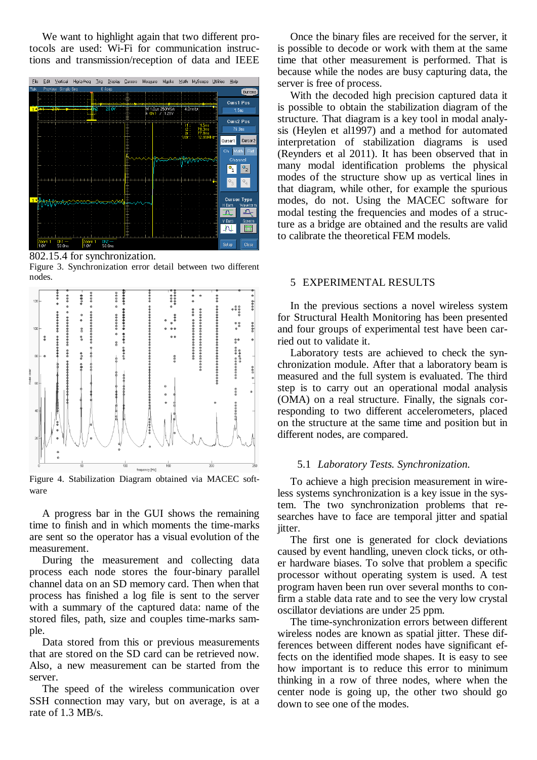We want to highlight again that two different protocols are used: Wi-Fi for communication instructions and transmission/reception of data and IEEE



802.15.4 for synchronization.

Figure 3. Synchronization error detail between two different nodes.



Figure 4. Stabilization Diagram obtained via MACEC software

A progress bar in the GUI shows the remaining time to finish and in which moments the time-marks are sent so the operator has a visual evolution of the measurement.

During the measurement and collecting data process each node stores the four-binary parallel channel data on an SD memory card. Then when that process has finished a log file is sent to the server with a summary of the captured data: name of the stored files, path, size and couples time-marks sample.

Data stored from this or previous measurements that are stored on the SD card can be retrieved now. Also, a new measurement can be started from the server.

The speed of the wireless communication over SSH connection may vary, but on average, is at a rate of 1.3 MB/s.

Once the binary files are received for the server, it is possible to decode or work with them at the same time that other measurement is performed. That is because while the nodes are busy capturing data, the server is free of process.

With the decoded high precision captured data it is possible to obtain the stabilization diagram of the structure. That diagram is a key tool in modal analysis (Heylen et al1997) and a method for automated interpretation of stabilization diagrams is used (Reynders et al 2011). It has been observed that in many modal identification problems the physical modes of the structure show up as vertical lines in that diagram, while other, for example the spurious modes, do not. Using the MACEC software for modal testing the frequencies and modes of a structure as a bridge are obtained and the results are valid to calibrate the theoretical FEM models.

## <span id="page-6-0"></span>5 EXPERIMENTAL RESULTS

In the previous sections a novel wireless system for Structural Health Monitoring has been presented and four groups of experimental test have been carried out to validate it.

Laboratory tests are achieved to check the synchronization module. After that a laboratory beam is measured and the full system is evaluated. The third step is to carry out an operational modal analysis (OMA) on a real structure. Finally, the signals corresponding to two different accelerometers, placed on the structure at the same time and position but in different nodes, are compared.

## 5.1 *Laboratory Tests. Synchronization.*

To achieve a high precision measurement in wireless systems synchronization is a key issue in the system. The two synchronization problems that researches have to face are temporal jitter and spatial jitter.

The first one is generated for clock deviations caused by event handling, uneven clock ticks, or other hardware biases. To solve that problem a specific processor without operating system is used. A test program haven been run over several months to confirm a stable data rate and to see the very low crystal oscillator deviations are under 25 ppm.

The time-synchronization errors between different wireless nodes are known as spatial jitter. These differences between different nodes have significant effects on the identified mode shapes. It is easy to see how important is to reduce this error to minimum thinking in a row of three nodes, where when the center node is going up, the other two should go down to see one of the modes.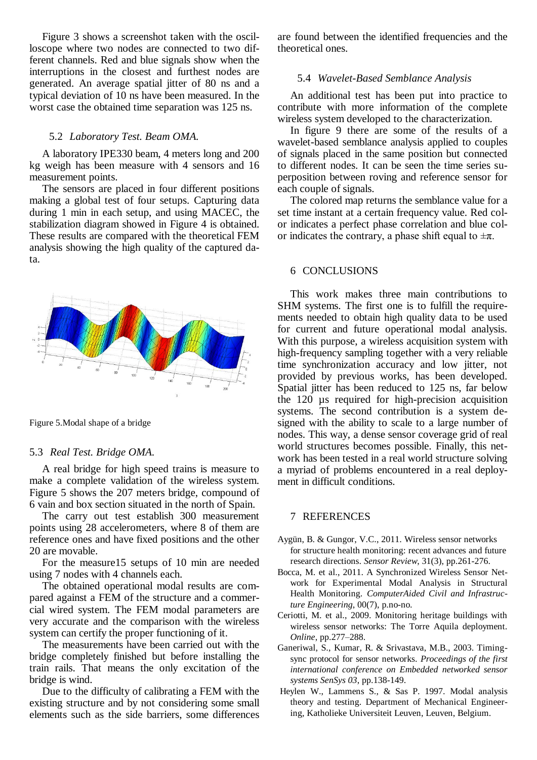Figure 3 shows a screenshot taken with the oscilloscope where two nodes are connected to two different channels. Red and blue signals show when the interruptions in the closest and furthest nodes are generated. An average spatial jitter of 80 ns and a typical deviation of 10 ns have been measured. In the worst case the obtained time separation was 125 ns.

#### 5.2 *Laboratory Test. Beam OMA.*

A laboratory IPE330 beam, 4 meters long and 200 kg weigh has been measure with 4 sensors and 16 measurement points.

The sensors are placed in four different positions making a global test of four setups. Capturing data during 1 min in each setup, and using MACEC, the stabilization diagram showed in Figure 4 is obtained. These results are compared with the theoretical FEM analysis showing the high quality of the captured data.



Figure 5.Modal shape of a bridge

#### 5.3 *Real Test. Bridge OMA.*

A real bridge for high speed trains is measure to make a complete validation of the wireless system. Figure 5 shows the 207 meters bridge, compound of 6 vain and box section situated in the north of Spain.

The carry out test establish 300 measurement points using 28 accelerometers, where 8 of them are reference ones and have fixed positions and the other 20 are movable.

For the measure15 setups of 10 min are needed using 7 nodes with 4 channels each.

The obtained operational modal results are compared against a FEM of the structure and a commercial wired system. The FEM modal parameters are very accurate and the comparison with the wireless system can certify the proper functioning of it.

The measurements have been carried out with the bridge completely finished but before installing the train rails. That means the only excitation of the bridge is wind.

Due to the difficulty of calibrating a FEM with the existing structure and by not considering some small elements such as the side barriers, some differences

are found between the identified frequencies and the theoretical ones.

## 5.4 *Wavelet-Based Semblance Analysis*

An additional test has been put into practice to contribute with more information of the complete wireless system developed to the characterization.

In figure 9 there are some of the results of a wavelet-based semblance analysis applied to couples of signals placed in the same position but connected to different nodes. It can be seen the time series superposition between roving and reference sensor for each couple of signals.

The colored map returns the semblance value for a set time instant at a certain frequency value. Red color indicates a perfect phase correlation and blue color indicates the contrary, a phase shift equal to  $\pm \pi$ .

#### <span id="page-7-0"></span>6 CONCLUSIONS

This work makes three main contributions to SHM systems. The first one is to fulfill the requirements needed to obtain high quality data to be used for current and future operational modal analysis. With this purpose, a wireless acquisition system with high-frequency sampling together with a very reliable time synchronization accuracy and low jitter, not provided by previous works, has been developed. Spatial jitter has been reduced to 125 ns, far below the 120 µs required for high-precision acquisition systems. The second contribution is a system designed with the ability to scale to a large number of nodes. This way, a dense sensor coverage grid of real world structures becomes possible. Finally, this network has been tested in a real world structure solving a myriad of problems encountered in a real deployment in difficult conditions.

#### 7 REFERENCES

- Aygün, B. & Gungor, V.C., 2011. Wireless sensor networks for structure health monitoring: recent advances and future research directions. *Sensor Review*, 31(3), pp.261-276.
- Bocca, M. et al., 2011. A Synchronized Wireless Sensor Network for Experimental Modal Analysis in Structural Health Monitoring. *ComputerAided Civil and Infrastructure Engineering*, 00(7), p.no-no.
- Ceriotti, M. et al., 2009. Monitoring heritage buildings with wireless sensor networks: The Torre Aquila deployment. *Online*, pp.277–288.
- Ganeriwal, S., Kumar, R. & Srivastava, M.B., 2003. Timingsync protocol for sensor networks. *Proceedings of the first international conference on Embedded networked sensor systems SenSys 03*, pp.138-149.
- Heylen W., Lammens S., & Sas P. 1997. Modal analysis theory and testing. Department of Mechanical Engineering, Katholieke Universiteit Leuven, Leuven, Belgium.